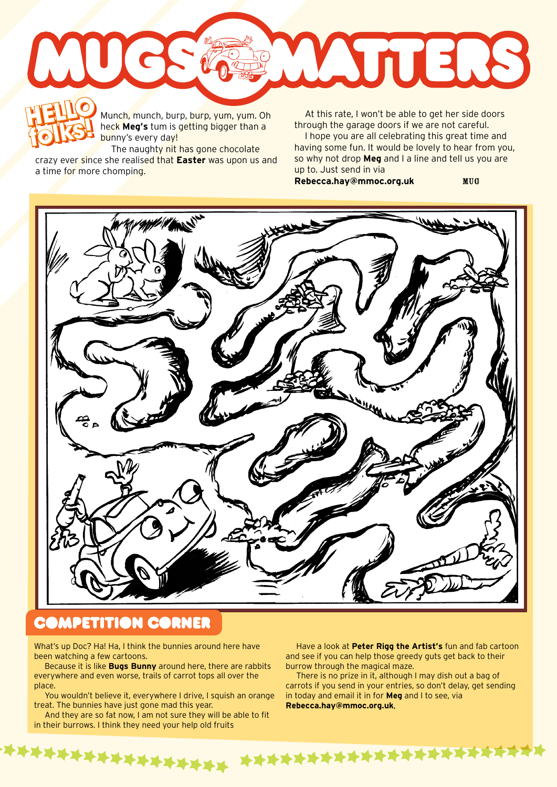

Munch, munch, burp, burp, yum, yum. Oh heck **Meg's** tum is getting bigger than a bunny's every day! Munch, munch, burp, burp, yum, yum. Oh at this rate, I won't be able to get her side doors<br>
heck **Meg's** tum is getting bigger than a loope you are all celebrating this great time and<br>
hope you are all celebrating this gre

The naughty nit has gone chocolate crazy ever since she realised that **Easter** was upon us and a time for more chomping. **folks!**

through the garage doors if we are not careful.

I hope you are all celebrating this great time and having some fun. It would be lovely to hear from you, so why not drop **Meg** and I a line and tell us you are up to. Just send in via

**Rebecca.hay@mmoc.org.uk** MUG



## **COMPETITION CORNER**

What's up Doc? Ha! Ha, I think the bunnies around here have been watching a few cartoons.

Because it is like **Bugs Bunny** around here, there are rabbits everywhere and even worse, trails of carrot tops all over the place.

You wouldn't believe it, everywhere I drive, I squish an orange treat. The bunnies have just gone mad this year.

And they are so fat now, I am not sure they will be able to fit in their burrows. I think they need your help old fruits

Have a look at **Peter Rigg the Artist's** fun and fab cartoon and see if you can help those greedy guts get back to their burrow through the magical maze.

There is no prize in it, although I may dish out a bag of carrots if you send in your entries, so don't delay, get sending in today and email it in for **Meg** and I to see, via **Rebecca.hay@mmoc.org.uk**,

\*\*\*\* \*\*\*\*\*\*\*\*\*\*\*\*\*\*\*\*\*\*\*\*\*\*\*\*\*